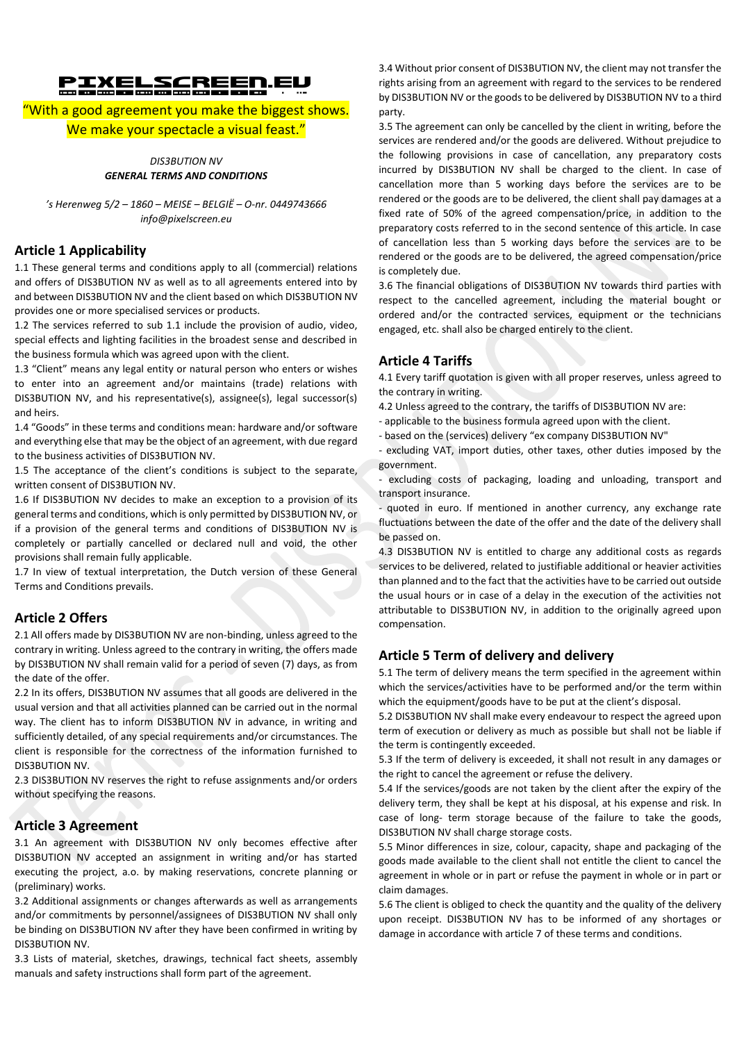# PIXELSCREEN.eu

# "With a good agreement you make the biggest shows. We make your spectacle a visual feast."

*DIS3BUTION NV GENERAL TERMS AND CONDITIONS*

*'s Herenweg 5/2 – 1860 – MEISE – BELGIË – O-nr. 0449743666 info@pixelscreen.eu*

## **Article 1 Applicability**

1.1 These general terms and conditions apply to all (commercial) relations and offers of DIS3BUTION NV as well as to all agreements entered into by and between DIS3BUTION NV and the client based on which DIS3BUTION NV provides one or more specialised services or products.

1.2 The services referred to sub 1.1 include the provision of audio, video, special effects and lighting facilities in the broadest sense and described in the business formula which was agreed upon with the client.

1.3 "Client" means any legal entity or natural person who enters or wishes to enter into an agreement and/or maintains (trade) relations with DIS3BUTION NV, and his representative(s), assignee(s), legal successor(s) and heirs.

1.4 "Goods" in these terms and conditions mean: hardware and/or software and everything else that may be the object of an agreement, with due regard to the business activities of DIS3BUTION NV.

1.5 The acceptance of the client's conditions is subject to the separate, written consent of DIS3BUTION NV.

1.6 If DIS3BUTION NV decides to make an exception to a provision of its general terms and conditions, which is only permitted by DIS3BUTION NV, or if a provision of the general terms and conditions of DIS3BUTION NV is completely or partially cancelled or declared null and void, the other provisions shall remain fully applicable.

1.7 In view of textual interpretation, the Dutch version of these General Terms and Conditions prevails.

# **Article 2 Offers**

2.1 All offers made by DIS3BUTION NV are non-binding, unless agreed to the contrary in writing. Unless agreed to the contrary in writing, the offers made by DIS3BUTION NV shall remain valid for a period of seven (7) days, as from the date of the offer.

2.2 In its offers, DIS3BUTION NV assumes that all goods are delivered in the usual version and that all activities planned can be carried out in the normal way. The client has to inform DIS3BUTION NV in advance, in writing and sufficiently detailed, of any special requirements and/or circumstances. The client is responsible for the correctness of the information furnished to DIS3BUTION NV.

2.3 DIS3BUTION NV reserves the right to refuse assignments and/or orders without specifying the reasons.

#### **Article 3 Agreement**

3.1 An agreement with DIS3BUTION NV only becomes effective after DIS3BUTION NV accepted an assignment in writing and/or has started executing the project, a.o. by making reservations, concrete planning or (preliminary) works.

3.2 Additional assignments or changes afterwards as well as arrangements and/or commitments by personnel/assignees of DIS3BUTION NV shall only be binding on DIS3BUTION NV after they have been confirmed in writing by DIS3BUTION NV.

3.3 Lists of material, sketches, drawings, technical fact sheets, assembly manuals and safety instructions shall form part of the agreement.

3.4 Without prior consent of DIS3BUTION NV, the client may not transfer the rights arising from an agreement with regard to the services to be rendered by DIS3BUTION NV or the goods to be delivered by DIS3BUTION NV to a third party.

3.5 The agreement can only be cancelled by the client in writing, before the services are rendered and/or the goods are delivered. Without prejudice to the following provisions in case of cancellation, any preparatory costs incurred by DIS3BUTION NV shall be charged to the client. In case of cancellation more than 5 working days before the services are to be rendered or the goods are to be delivered, the client shall pay damages at a fixed rate of 50% of the agreed compensation/price, in addition to the preparatory costs referred to in the second sentence of this article. In case of cancellation less than 5 working days before the services are to be rendered or the goods are to be delivered, the agreed compensation/price is completely due.

3.6 The financial obligations of DIS3BUTION NV towards third parties with respect to the cancelled agreement, including the material bought or ordered and/or the contracted services, equipment or the technicians engaged, etc. shall also be charged entirely to the client.

# **Article 4 Tariffs**

4.1 Every tariff quotation is given with all proper reserves, unless agreed to the contrary in writing.

- 4.2 Unless agreed to the contrary, the tariffs of DIS3BUTION NV are:
- applicable to the business formula agreed upon with the client.
- based on the (services) delivery "ex company DIS3BUTION NV"

- excluding VAT, import duties, other taxes, other duties imposed by the government.

- excluding costs of packaging, loading and unloading, transport and transport insurance.

- quoted in euro. If mentioned in another currency, any exchange rate fluctuations between the date of the offer and the date of the delivery shall be passed on.

4.3 DIS3BUTION NV is entitled to charge any additional costs as regards services to be delivered, related to justifiable additional or heavier activities than planned and to the fact that the activities have to be carried out outside the usual hours or in case of a delay in the execution of the activities not attributable to DIS3BUTION NV, in addition to the originally agreed upon compensation.

# **Article 5 Term of delivery and delivery**

5.1 The term of delivery means the term specified in the agreement within which the services/activities have to be performed and/or the term within which the equipment/goods have to be put at the client's disposal.

5.2 DIS3BUTION NV shall make every endeavour to respect the agreed upon term of execution or delivery as much as possible but shall not be liable if the term is contingently exceeded.

5.3 If the term of delivery is exceeded, it shall not result in any damages or the right to cancel the agreement or refuse the delivery.

5.4 If the services/goods are not taken by the client after the expiry of the delivery term, they shall be kept at his disposal, at his expense and risk. In case of long- term storage because of the failure to take the goods, DIS3BUTION NV shall charge storage costs.

5.5 Minor differences in size, colour, capacity, shape and packaging of the goods made available to the client shall not entitle the client to cancel the agreement in whole or in part or refuse the payment in whole or in part or claim damages.

5.6 The client is obliged to check the quantity and the quality of the delivery upon receipt. DIS3BUTION NV has to be informed of any shortages or damage in accordance with article 7 of these terms and conditions.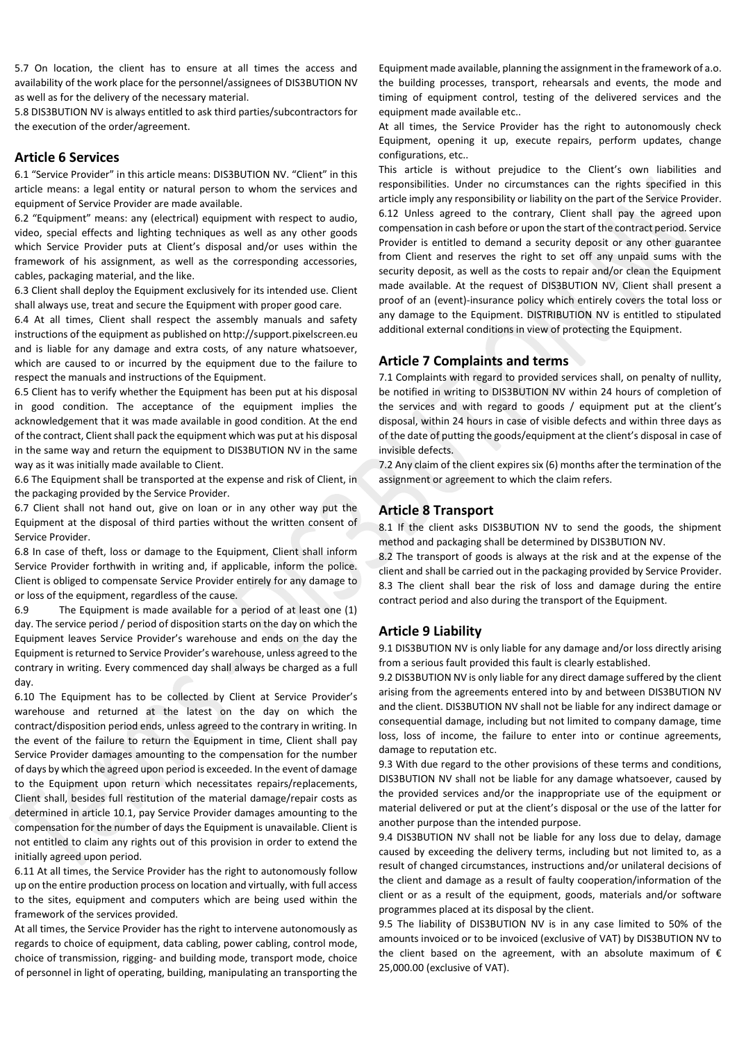5.7 On location, the client has to ensure at all times the access and availability of the work place for the personnel/assignees of DIS3BUTION NV as well as for the delivery of the necessary material.

5.8 DIS3BUTION NV is always entitled to ask third parties/subcontractors for the execution of the order/agreement.

# **Article 6 Services**

6.1 "Service Provider" in this article means: DIS3BUTION NV. "Client" in this article means: a legal entity or natural person to whom the services and equipment of Service Provider are made available.

6.2 "Equipment" means: any (electrical) equipment with respect to audio, video, special effects and lighting techniques as well as any other goods which Service Provider puts at Client's disposal and/or uses within the framework of his assignment, as well as the corresponding accessories, cables, packaging material, and the like.

6.3 Client shall deploy the Equipment exclusively for its intended use. Client shall always use, treat and secure the Equipment with proper good care.

6.4 At all times, Client shall respect the assembly manuals and safety instructions of the equipment as published on http://support.pixelscreen.eu and is liable for any damage and extra costs, of any nature whatsoever, which are caused to or incurred by the equipment due to the failure to respect the manuals and instructions of the Equipment.

6.5 Client has to verify whether the Equipment has been put at his disposal in good condition. The acceptance of the equipment implies the acknowledgement that it was made available in good condition. At the end of the contract, Client shall pack the equipment which was put at his disposal in the same way and return the equipment to DIS3BUTION NV in the same way as it was initially made available to Client.

6.6 The Equipment shall be transported at the expense and risk of Client, in the packaging provided by the Service Provider.

6.7 Client shall not hand out, give on loan or in any other way put the Equipment at the disposal of third parties without the written consent of Service Provider.

6.8 In case of theft, loss or damage to the Equipment, Client shall inform Service Provider forthwith in writing and, if applicable, inform the police. Client is obliged to compensate Service Provider entirely for any damage to or loss of the equipment, regardless of the cause.

6.9 The Equipment is made available for a period of at least one (1) day. The service period / period of disposition starts on the day on which the Equipment leaves Service Provider's warehouse and ends on the day the Equipment is returned to Service Provider's warehouse, unless agreed to the contrary in writing. Every commenced day shall always be charged as a full day.

6.10 The Equipment has to be collected by Client at Service Provider's warehouse and returned at the latest on the day on which the contract/disposition period ends, unless agreed to the contrary in writing. In the event of the failure to return the Equipment in time, Client shall pay Service Provider damages amounting to the compensation for the number of days by which the agreed upon period is exceeded. In the event of damage to the Equipment upon return which necessitates repairs/replacements, Client shall, besides full restitution of the material damage/repair costs as determined in article 10.1, pay Service Provider damages amounting to the compensation for the number of days the Equipment is unavailable. Client is not entitled to claim any rights out of this provision in order to extend the initially agreed upon period.

6.11 At all times, the Service Provider has the right to autonomously follow up on the entire production process on location and virtually, with full access to the sites, equipment and computers which are being used within the framework of the services provided.

At all times, the Service Provider has the right to intervene autonomously as regards to choice of equipment, data cabling, power cabling, control mode, choice of transmission, rigging- and building mode, transport mode, choice of personnel in light of operating, building, manipulating an transporting the

Equipment made available, planning the assignment in the framework of a.o. the building processes, transport, rehearsals and events, the mode and timing of equipment control, testing of the delivered services and the equipment made available etc..

At all times, the Service Provider has the right to autonomously check Equipment, opening it up, execute repairs, perform updates, change configurations, etc..

This article is without prejudice to the Client's own liabilities and responsibilities. Under no circumstances can the rights specified in this article imply any responsibility or liability on the part of the Service Provider. 6.12 Unless agreed to the contrary, Client shall pay the agreed upon compensation in cash before or upon the start of the contract period. Service Provider is entitled to demand a security deposit or any other guarantee from Client and reserves the right to set off any unpaid sums with the security deposit, as well as the costs to repair and/or clean the Equipment made available. At the request of DIS3BUTION NV, Client shall present a proof of an (event)-insurance policy which entirely covers the total loss or any damage to the Equipment. DISTRIBUTION NV is entitled to stipulated additional external conditions in view of protecting the Equipment.

# **Article 7 Complaints and terms**

7.1 Complaints with regard to provided services shall, on penalty of nullity, be notified in writing to DIS3BUTION NV within 24 hours of completion of the services and with regard to goods / equipment put at the client's disposal, within 24 hours in case of visible defects and within three days as of the date of putting the goods/equipment at the client's disposal in case of invisible defects.

7.2 Any claim of the client expires six (6) months after the termination of the assignment or agreement to which the claim refers.

# **Article 8 Transport**

8.1 If the client asks DIS3BUTION NV to send the goods, the shipment method and packaging shall be determined by DIS3BUTION NV.

8.2 The transport of goods is always at the risk and at the expense of the client and shall be carried out in the packaging provided by Service Provider. 8.3 The client shall bear the risk of loss and damage during the entire contract period and also during the transport of the Equipment.

# **Article 9 Liability**

9.1 DIS3BUTION NV is only liable for any damage and/or loss directly arising from a serious fault provided this fault is clearly established.

9.2 DIS3BUTION NV is only liable for any direct damage suffered by the client arising from the agreements entered into by and between DIS3BUTION NV and the client. DIS3BUTION NV shall not be liable for any indirect damage or consequential damage, including but not limited to company damage, time loss, loss of income, the failure to enter into or continue agreements, damage to reputation etc.

9.3 With due regard to the other provisions of these terms and conditions, DIS3BUTION NV shall not be liable for any damage whatsoever, caused by the provided services and/or the inappropriate use of the equipment or material delivered or put at the client's disposal or the use of the latter for another purpose than the intended purpose.

9.4 DIS3BUTION NV shall not be liable for any loss due to delay, damage caused by exceeding the delivery terms, including but not limited to, as a result of changed circumstances, instructions and/or unilateral decisions of the client and damage as a result of faulty cooperation/information of the client or as a result of the equipment, goods, materials and/or software programmes placed at its disposal by the client.

9.5 The liability of DIS3BUTION NV is in any case limited to 50% of the amounts invoiced or to be invoiced (exclusive of VAT) by DIS3BUTION NV to the client based on the agreement, with an absolute maximum of  $\epsilon$ 25,000.00 (exclusive of VAT).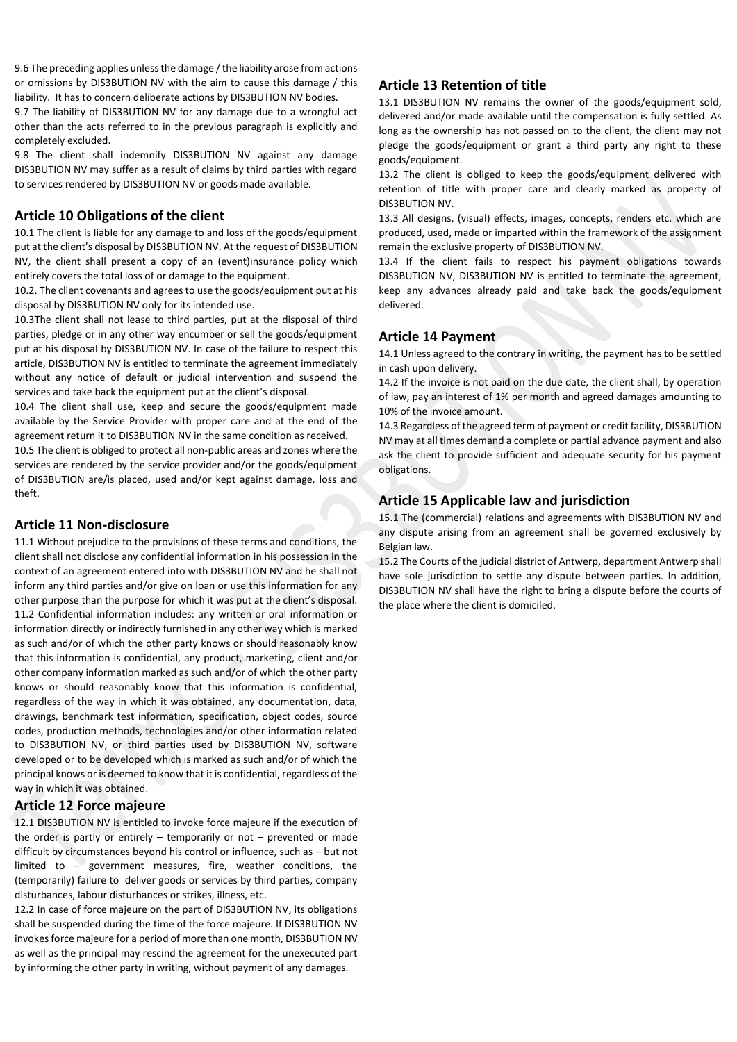9.6 The preceding applies unless the damage / the liability arose from actions or omissions by DIS3BUTION NV with the aim to cause this damage / this liability. It has to concern deliberate actions by DIS3BUTION NV bodies.

9.7 The liability of DIS3BUTION NV for any damage due to a wrongful act other than the acts referred to in the previous paragraph is explicitly and completely excluded.

9.8 The client shall indemnify DIS3BUTION NV against any damage DIS3BUTION NV may suffer as a result of claims by third parties with regard to services rendered by DIS3BUTION NV or goods made available.

## **Article 10 Obligations of the client**

10.1 The client is liable for any damage to and loss of the goods/equipment put at the client's disposal by DIS3BUTION NV. At the request of DIS3BUTION NV, the client shall present a copy of an (event)insurance policy which entirely covers the total loss of or damage to the equipment.

10.2. The client covenants and agrees to use the goods/equipment put at his disposal by DIS3BUTION NV only for its intended use.

10.3The client shall not lease to third parties, put at the disposal of third parties, pledge or in any other way encumber or sell the goods/equipment put at his disposal by DIS3BUTION NV. In case of the failure to respect this article, DIS3BUTION NV is entitled to terminate the agreement immediately without any notice of default or judicial intervention and suspend the services and take back the equipment put at the client's disposal.

10.4 The client shall use, keep and secure the goods/equipment made available by the Service Provider with proper care and at the end of the agreement return it to DIS3BUTION NV in the same condition as received.

10.5 The client is obliged to protect all non-public areas and zones where the services are rendered by the service provider and/or the goods/equipment of DIS3BUTION are/is placed, used and/or kept against damage, loss and theft.

#### **Article 11 Non-disclosure**

11.1 Without prejudice to the provisions of these terms and conditions, the client shall not disclose any confidential information in his possession in the context of an agreement entered into with DIS3BUTION NV and he shall not inform any third parties and/or give on loan or use this information for any other purpose than the purpose for which it was put at the client's disposal. 11.2 Confidential information includes: any written or oral information or information directly or indirectly furnished in any other way which is marked as such and/or of which the other party knows or should reasonably know that this information is confidential, any product, marketing, client and/or other company information marked as such and/or of which the other party knows or should reasonably know that this information is confidential, regardless of the way in which it was obtained, any documentation, data, drawings, benchmark test information, specification, object codes, source codes, production methods, technologies and/or other information related to DIS3BUTION NV, or third parties used by DIS3BUTION NV, software developed or to be developed which is marked as such and/or of which the principal knows or is deemed to know that it is confidential, regardless of the way in which it was obtained.

#### **Article 12 Force majeure**

12.1 DIS3BUTION NV is entitled to invoke force majeure if the execution of the order is partly or entirely – temporarily or not – prevented or made difficult by circumstances beyond his control or influence, such as – but not limited to – government measures, fire, weather conditions, the (temporarily) failure to deliver goods or services by third parties, company disturbances, labour disturbances or strikes, illness, etc.

12.2 In case of force majeure on the part of DIS3BUTION NV, its obligations shall be suspended during the time of the force majeure. If DIS3BUTION NV invokes force majeure for a period of more than one month, DIS3BUTION NV as well as the principal may rescind the agreement for the unexecuted part by informing the other party in writing, without payment of any damages.

## **Article 13 Retention of title**

13.1 DIS3BUTION NV remains the owner of the goods/equipment sold, delivered and/or made available until the compensation is fully settled. As long as the ownership has not passed on to the client, the client may not pledge the goods/equipment or grant a third party any right to these goods/equipment.

13.2 The client is obliged to keep the goods/equipment delivered with retention of title with proper care and clearly marked as property of DIS3BUTION NV.

13.3 All designs, (visual) effects, images, concepts, renders etc. which are produced, used, made or imparted within the framework of the assignment remain the exclusive property of DIS3BUTION NV.

13.4 If the client fails to respect his payment obligations towards DIS3BUTION NV, DIS3BUTION NV is entitled to terminate the agreement, keep any advances already paid and take back the goods/equipment delivered.

# **Article 14 Payment**

14.1 Unless agreed to the contrary in writing, the payment has to be settled in cash upon delivery.

14.2 If the invoice is not paid on the due date, the client shall, by operation of law, pay an interest of 1% per month and agreed damages amounting to 10% of the invoice amount.

14.3 Regardless of the agreed term of payment or credit facility, DIS3BUTION NV may at all times demand a complete or partial advance payment and also ask the client to provide sufficient and adequate security for his payment obligations.

# **Article 15 Applicable law and jurisdiction**

15.1 The (commercial) relations and agreements with DIS3BUTION NV and any dispute arising from an agreement shall be governed exclusively by Belgian law.

15.2 The Courts of the judicial district of Antwerp, department Antwerp shall have sole jurisdiction to settle any dispute between parties. In addition, DIS3BUTION NV shall have the right to bring a dispute before the courts of the place where the client is domiciled.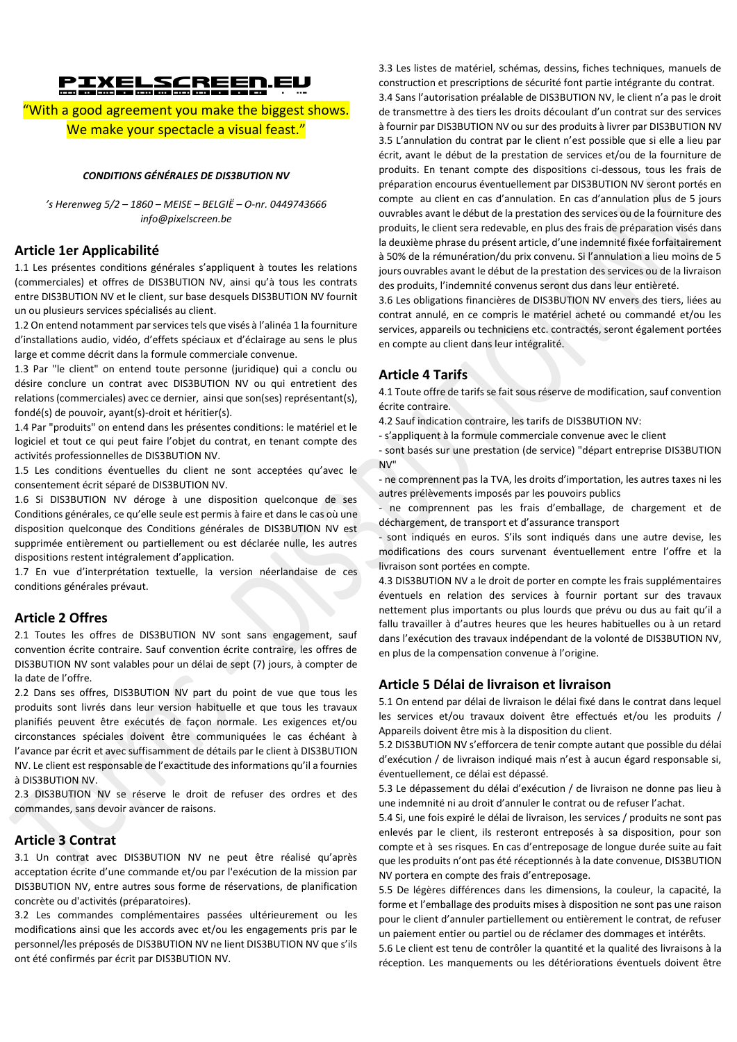# PIXELSCREEN.eu

"With a good agreement you make the biggest shows. We make your spectacle a visual feast."

#### *CONDITIONS GÉNÉRALES DE DIS3BUTION NV*

*'s Herenweg 5/2 – 1860 – MEISE – BELGIË – O-nr. 0449743666 info@pixelscreen.be*

#### **Article 1er Applicabilité**

1.1 Les présentes conditions générales s'appliquent à toutes les relations (commerciales) et offres de DIS3BUTION NV, ainsi qu'à tous les contrats entre DIS3BUTION NV et le client, sur base desquels DIS3BUTION NV fournit un ou plusieurs services spécialisés au client.

1.2 On entend notamment par services tels que visés à l'alinéa 1 la fourniture d'installations audio, vidéo, d'effets spéciaux et d'éclairage au sens le plus large et comme décrit dans la formule commerciale convenue.

1.3 Par "le client" on entend toute personne (juridique) qui a conclu ou désire conclure un contrat avec DIS3BUTION NV ou qui entretient des relations (commerciales) avec ce dernier, ainsi que son(ses) représentant(s), fondé(s) de pouvoir, ayant(s)-droit et héritier(s).

1.4 Par "produits" on entend dans les présentes conditions: le matériel et le logiciel et tout ce qui peut faire l'objet du contrat, en tenant compte des activités professionnelles de DIS3BUTION NV.

1.5 Les conditions éventuelles du client ne sont acceptées qu'avec le consentement écrit séparé de DIS3BUTION NV.

1.6 Si DIS3BUTION NV déroge à une disposition quelconque de ses Conditions générales, ce qu'elle seule est permis à faire et dans le cas où une disposition quelconque des Conditions générales de DIS3BUTION NV est supprimée entièrement ou partiellement ou est déclarée nulle, les autres dispositions restent intégralement d'application.

1.7 En vue d'interprétation textuelle, la version néerlandaise de ces conditions générales prévaut.

#### **Article 2 Offres**

2.1 Toutes les offres de DIS3BUTION NV sont sans engagement, sauf convention écrite contraire. Sauf convention écrite contraire, les offres de DIS3BUTION NV sont valables pour un délai de sept (7) jours, à compter de la date de l'offre.

2.2 Dans ses offres, DIS3BUTION NV part du point de vue que tous les produits sont livrés dans leur version habituelle et que tous les travaux planifiés peuvent être exécutés de façon normale. Les exigences et/ou circonstances spéciales doivent être communiquées le cas échéant à l'avance par écrit et avec suffisamment de détails par le client à DIS3BUTION NV. Le client est responsable de l'exactitude des informations qu'il a fournies à DIS3BUTION NV.

2.3 DIS3BUTION NV se réserve le droit de refuser des ordres et des commandes, sans devoir avancer de raisons.

### **Article 3 Contrat**

3.1 Un contrat avec DIS3BUTION NV ne peut être réalisé qu'après acceptation écrite d'une commande et/ou par l'exécution de la mission par DIS3BUTION NV, entre autres sous forme de réservations, de planification concrète ou d'activités (préparatoires).

3.2 Les commandes complémentaires passées ultérieurement ou les modifications ainsi que les accords avec et/ou les engagements pris par le personnel/les préposés de DIS3BUTION NV ne lient DIS3BUTION NV que s'ils ont été confirmés par écrit par DIS3BUTION NV.

3.3 Les listes de matériel, schémas, dessins, fiches techniques, manuels de construction et prescriptions de sécurité font partie intégrante du contrat. 3.4 Sans l'autorisation préalable de DIS3BUTION NV, le client n'a pas le droit de transmettre à des tiers les droits découlant d'un contrat sur des services à fournir par DIS3BUTION NV ou sur des produits à livrer par DIS3BUTION NV 3.5 L'annulation du contrat par le client n'est possible que si elle a lieu par écrit, avant le début de la prestation de services et/ou de la fourniture de produits. En tenant compte des dispositions ci-dessous, tous les frais de préparation encourus éventuellement par DIS3BUTION NV seront portés en compte au client en cas d'annulation. En cas d'annulation plus de 5 jours ouvrables avant le début de la prestation des services ou de la fourniture des produits, le client sera redevable, en plus des frais de préparation visés dans la deuxième phrase du présent article, d'une indemnité fixée forfaitairement à 50% de la rémunération/du prix convenu. Si l'annulation a lieu moins de 5 jours ouvrables avant le début de la prestation des services ou de la livraison des produits, l'indemnité convenus seront dus dans leur entièreté.

3.6 Les obligations financières de DIS3BUTION NV envers des tiers, liées au contrat annulé, en ce compris le matériel acheté ou commandé et/ou les services, appareils ou techniciens etc. contractés, seront également portées en compte au client dans leur intégralité.

# **Article 4 Tarifs**

4.1 Toute offre de tarifs se fait sous réserve de modification, sauf convention écrite contraire.

- 4.2 Sauf indication contraire, les tarifs de DIS3BUTION NV:
- s'appliquent à la formule commerciale convenue avec le client

- sont basés sur une prestation (de service) "départ entreprise DIS3BUTION NV"

- ne comprennent pas la TVA, les droits d'importation, les autres taxes ni les autres prélèvements imposés par les pouvoirs publics

- ne comprennent pas les frais d'emballage, de chargement et de déchargement, de transport et d'assurance transport

- sont indiqués en euros. S'ils sont indiqués dans une autre devise, les modifications des cours survenant éventuellement entre l'offre et la livraison sont portées en compte.

4.3 DIS3BUTION NV a le droit de porter en compte les frais supplémentaires éventuels en relation des services à fournir portant sur des travaux nettement plus importants ou plus lourds que prévu ou dus au fait qu'il a fallu travailler à d'autres heures que les heures habituelles ou à un retard dans l'exécution des travaux indépendant de la volonté de DIS3BUTION NV, en plus de la compensation convenue à l'origine.

#### **Article 5 Délai de livraison et livraison**

5.1 On entend par délai de livraison le délai fixé dans le contrat dans lequel les services et/ou travaux doivent être effectués et/ou les produits / Appareils doivent être mis à la disposition du client.

5.2 DIS3BUTION NV s'efforcera de tenir compte autant que possible du délai d'exécution / de livraison indiqué mais n'est à aucun égard responsable si, éventuellement, ce délai est dépassé.

5.3 Le dépassement du délai d'exécution / de livraison ne donne pas lieu à une indemnité ni au droit d'annuler le contrat ou de refuser l'achat.

5.4 Si, une fois expiré le délai de livraison, les services / produits ne sont pas enlevés par le client, ils resteront entreposés à sa disposition, pour son compte et à ses risques. En cas d'entreposage de longue durée suite au fait que les produits n'ont pas été réceptionnés à la date convenue, DIS3BUTION NV portera en compte des frais d'entreposage.

5.5 De légères différences dans les dimensions, la couleur, la capacité, la forme et l'emballage des produits mises à disposition ne sont pas une raison pour le client d'annuler partiellement ou entièrement le contrat, de refuser un paiement entier ou partiel ou de réclamer des dommages et intérêts.

5.6 Le client est tenu de contrôler la quantité et la qualité des livraisons à la réception. Les manquements ou les détériorations éventuels doivent être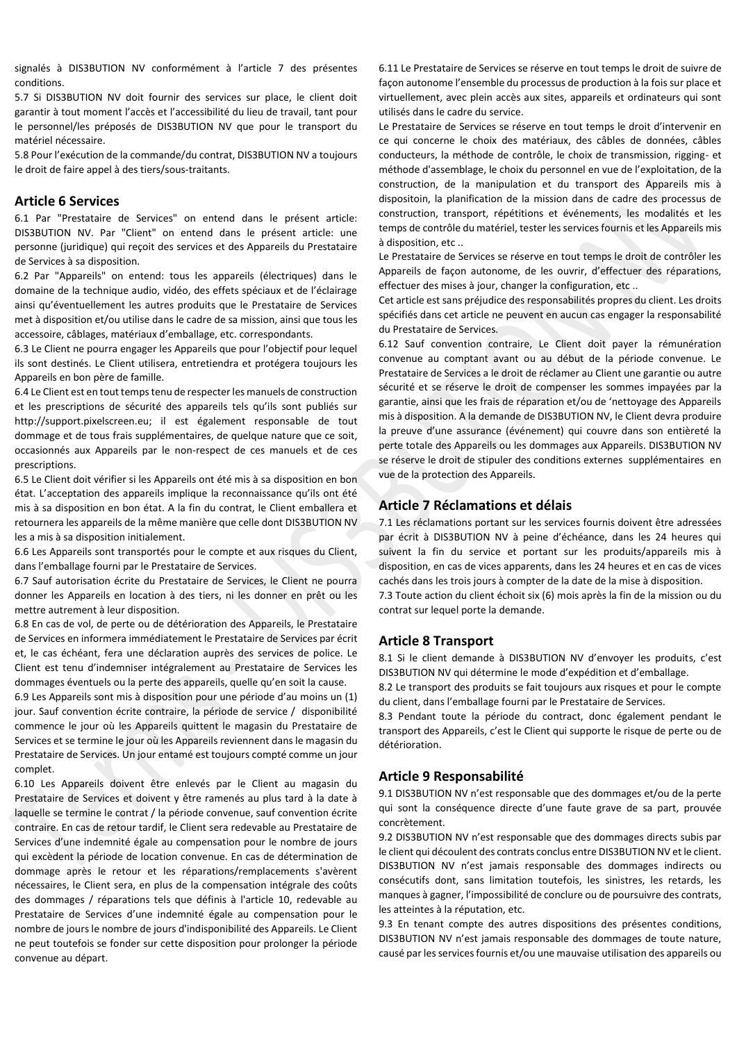signalés à DIS3BUTION NV conformément à l'article 7 des présentes conditions.

5.7 Si DIS3BUTION NV doit fournir des services sur place, le client doit garantir à tout moment l'accès et l'accessibilité du lieu de travail, tant pour le personnel/les préposés de DIS3BUTION NV que pour le transport du matériel nécessaire.

5.8 Pour l'exécution de la commande/du contrat, DIS3BUTION NV a toujours le droit de faire appel à des tiers/sous-traitants.

#### **Article 6 Services**

6.1 Par "Prestataire de Services" on entend dans le présent article: DIS3BUTION NV. Par "Client" on entend dans le présent article: une personne (juridique) qui reçoit des services et des Appareils du Prestataire de Services à sa disposition.

6.2 Par "Appareils" on entend: tous les appareils (électriques) dans le domaine de la technique audio, vidéo, des effets spéciaux et de l'éclairage ainsi qu'éventuellement les autres produits que le Prestataire de Services met à disposition et/ou utilise dans le cadre de sa mission, ainsi que tous les accessoire, câblages, matériaux d'emballage, etc. correspondants.

6.3 Le Client ne pourra engager les Appareils que pour l'objectif pour lequel ils sont destinés. Le Client utilisera, entretiendra et protégera toujours les Appareils en bon père de famille.

6.4 Le Client est en tout temps tenu de respecter les manuels de construction et les prescriptions de sécurité des appareils tels qu'ils sont publiés sur http://support.pixelscreen.eu; il est également responsable de tout dommage et de tous frais supplémentaires, de quelque nature que ce soit, occasionnés aux Appareils par le non-respect de ces manuels et de ces prescriptions.

6.5 Le Client doit vérifier si les Appareils ont été mis à sa disposition en bon état. L'acceptation des appareils implique la reconnaissance qu'ils ont été mis à sa disposition en bon état. A la fin du contrat, le Client emballera et retournera les appareils de la même manière que celle dont DIS3BUTION NV les a mis à sa disposition initialement.

6.6 Les Appareils sont transportés pour le compte et aux risques du Client, dans l'emballage fourni par le Prestataire de Services.

6.7 Sauf autorisation écrite du Prestataire de Services, le Client ne pourra donner les Appareils en location à des tiers, ni les donner en prêt ou les mettre autrement à leur disposition.

6.8 En cas de vol, de perte ou de détérioration des Appareils, le Prestataire de Services en informera immédiatement le Prestataire de Services par écrit et, le cas échéant, fera une déclaration auprès des services de police. Le Client est tenu d'indemniser intégralement au Prestataire de Services les dommages éventuels ou la perte des appareils, quelle qu'en soit la cause.

6.9 Les Appareils sont mis à disposition pour une période d'au moins un (1) jour. Sauf convention écrite contraire, la période de service / disponibilité commence le jour où les Appareils quittent le magasin du Prestataire de Services et se termine le jour où les Appareils reviennent dans le magasin du Prestataire de Services. Un jour entamé est toujours compté comme un jour complet.

6.10 Les Appareils doivent être enlevés par le Client au magasin du Prestataire de Services et doivent y être ramenés au plus tard à la date à laquelle se termine le contrat / la période convenue, sauf convention écrite contraire. En cas de retour tardif, le Client sera redevable au Prestataire de Services d'une indemnité égale au compensation pour le nombre de jours qui excèdent la période de location convenue. En cas de détermination de dommage après le retour et les réparations/remplacements s'avèrent nécessaires, le Client sera, en plus de la compensation intégrale des coûts des dommages / réparations tels que définis à l'article 10, redevable au Prestataire de Services d'une indemnité égale au compensation pour le nombre de jours le nombre de jours d'indisponibilité des Appareils. Le Client ne peut toutefois se fonder sur cette disposition pour prolonger la période convenue au départ.

6.11 Le Prestataire de Services se réserve en tout temps le droit de suivre de façon autonome l'ensemble du processus de production à la fois sur place et virtuellement, avec plein accès aux sites, appareils et ordinateurs qui sont utilisés dans le cadre du service.

Le Prestataire de Services se réserve en tout temps le droit d'intervenir en ce qui concerne le choix des matériaux, des câbles de données, câbles conducteurs, la méthode de contrôle, le choix de transmission, rigging- et méthode d'assemblage, le choix du personnel en vue de l'exploitation, de la construction, de la manipulation et du transport des Appareils mis à dispositoin, la planification de la mission dans de cadre des processus de construction, transport, répétitions et événements, les modalités et les temps de contrôle du matériel, tester les services fournis et les Appareils mis à disposition, etc ..

Le Prestataire de Services se réserve en tout temps le droit de contrôler les Appareils de façon autonome, de les ouvrir, d'effectuer des réparations, effectuer des mises à jour, changer la configuration, etc ..

Cet article est sans préjudice des responsabilités propres du client. Les droits spécifiés dans cet article ne peuvent en aucun cas engager la responsabilité du Prestataire de Services.

6.12 Sauf convention contraire, Le Client doit payer la rémunération convenue au comptant avant ou au début de la période convenue. Le Prestataire de Services a le droit de réclamer au Client une garantie ou autre sécurité et se réserve le droit de compenser les sommes impayées par la garantie, ainsi que les frais de réparation et/ou de 'nettoyage des Appareils mis à disposition. A la demande de DIS3BUTION NV, le Client devra produire la preuve d'une assurance (événement) qui couvre dans son entièreté la perte totale des Appareils ou les dommages aux Appareils. DIS3BUTION NV se réserve le droit de stipuler des conditions externes supplémentaires en vue de la protection des Appareils.

## **Article 7 Réclamations et délais**

7.1 Les réclamations portant sur les services fournis doivent être adressées par écrit à DIS3BUTION NV à peine d'échéance, dans les 24 heures qui suivent la fin du service et portant sur les produits/appareils mis à disposition, en cas de vices apparents, dans les 24 heures et en cas de vices cachés dans les trois jours à compter de la date de la mise à disposition. 7.3 Toute action du client échoit six (6) mois après la fin de la mission ou du contrat sur lequel porte la demande.

#### **Article 8 Transport**

8.1 Si le client demande à DIS3BUTION NV d'envoyer les produits, c'est DIS3BUTION NV qui détermine le mode d'expédition et d'emballage.

8.2 Le transport des produits se fait toujours aux risques et pour le compte du client, dans l'emballage fourni par le Prestataire de Services.

8.3 Pendant toute la période du contract, donc également pendant le transport des Appareils, c'est le Client qui supporte le risque de perte ou de détérioration.

#### **Article 9 Responsabilité**

9.1 DIS3BUTION NV n'est responsable que des dommages et/ou de la perte qui sont la conséquence directe d'une faute grave de sa part, prouvée concrètement.

9.2 DIS3BUTION NV n'est responsable que des dommages directs subis par le client qui découlent des contrats conclus entre DIS3BUTION NV et le client. DIS3BUTION NV n'est jamais responsable des dommages indirects ou consécutifs dont, sans limitation toutefois, les sinistres, les retards, les manques à gagner, l'impossibilité de conclure ou de poursuivre des contrats, les atteintes à la réputation, etc.

9.3 En tenant compte des autres dispositions des présentes conditions, DIS3BUTION NV n'est jamais responsable des dommages de toute nature, causé par les services fournis et/ou une mauvaise utilisation des appareils ou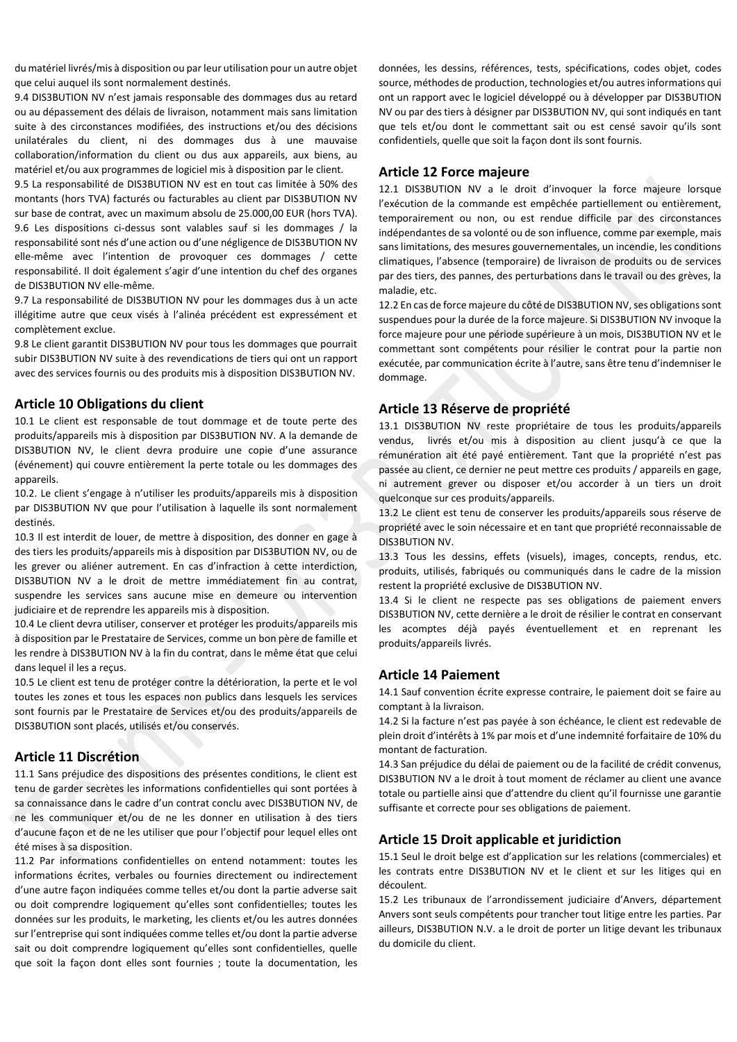du matériel livrés/mis à disposition ou par leur utilisation pour un autre objet que celui auquel ils sont normalement destinés.

9.4 DIS3BUTION NV n'est jamais responsable des dommages dus au retard ou au dépassement des délais de livraison, notamment mais sans limitation suite à des circonstances modifiées, des instructions et/ou des décisions unilatérales du client, ni des dommages dus à une mauvaise collaboration/information du client ou dus aux appareils, aux biens, au matériel et/ou aux programmes de logiciel mis à disposition par le client.

9.5 La responsabilité de DIS3BUTION NV est en tout cas limitée à 50% des montants (hors TVA) facturés ou facturables au client par DIS3BUTION NV sur base de contrat, avec un maximum absolu de 25.000,00 EUR (hors TVA). 9.6 Les dispositions ci-dessus sont valables sauf si les dommages / la responsabilité sont nés d'une action ou d'une négligence de DIS3BUTION NV elle-même avec l'intention de provoquer ces dommages / cette responsabilité. Il doit également s'agir d'une intention du chef des organes de DIS3BUTION NV elle-même.

9.7 La responsabilité de DIS3BUTION NV pour les dommages dus à un acte illégitime autre que ceux visés à l'alinéa précédent est expressément et complètement exclue.

9.8 Le client garantit DIS3BUTION NV pour tous les dommages que pourrait subir DIS3BUTION NV suite à des revendications de tiers qui ont un rapport avec des services fournis ou des produits mis à disposition DIS3BUTION NV.

#### **Article 10 Obligations du client**

10.1 Le client est responsable de tout dommage et de toute perte des produits/appareils mis à disposition par DIS3BUTION NV. A la demande de DIS3BUTION NV, le client devra produire une copie d'une assurance (événement) qui couvre entièrement la perte totale ou les dommages des appareils.

10.2. Le client s'engage à n'utiliser les produits/appareils mis à disposition par DIS3BUTION NV que pour l'utilisation à laquelle ils sont normalement destinés.

10.3 Il est interdit de louer, de mettre à disposition, des donner en gage à des tiers les produits/appareils mis à disposition par DIS3BUTION NV, ou de les grever ou aliéner autrement. En cas d'infraction à cette interdiction, DIS3BUTION NV a le droit de mettre immédiatement fin au contrat, suspendre les services sans aucune mise en demeure ou intervention judiciaire et de reprendre les appareils mis à disposition.

10.4 Le client devra utiliser, conserver et protéger les produits/appareils mis à disposition par le Prestataire de Services, comme un bon père de famille et les rendre à DIS3BUTION NV à la fin du contrat, dans le même état que celui dans lequel il les a reçus.

10.5 Le client est tenu de protéger contre la détérioration, la perte et le vol toutes les zones et tous les espaces non publics dans lesquels les services sont fournis par le Prestataire de Services et/ou des produits/appareils de DIS3BUTION sont placés, utilisés et/ou conservés.

#### **Article 11 Discrétion**

11.1 Sans préjudice des dispositions des présentes conditions, le client est tenu de garder secrètes les informations confidentielles qui sont portées à sa connaissance dans le cadre d'un contrat conclu avec DIS3BUTION NV, de ne les communiquer et/ou de ne les donner en utilisation à des tiers d'aucune façon et de ne les utiliser que pour l'objectif pour lequel elles ont été mises à sa disposition.

11.2 Par informations confidentielles on entend notamment: toutes les informations écrites, verbales ou fournies directement ou indirectement d'une autre façon indiquées comme telles et/ou dont la partie adverse sait ou doit comprendre logiquement qu'elles sont confidentielles; toutes les données sur les produits, le marketing, les clients et/ou les autres données sur l'entreprise qui sont indiquées comme telles et/ou dont la partie adverse sait ou doit comprendre logiquement qu'elles sont confidentielles, quelle que soit la façon dont elles sont fournies ; toute la documentation, les

données, les dessins, références, tests, spécifications, codes objet, codes source, méthodes de production, technologies et/ou autres informations qui ont un rapport avec le logiciel développé ou à développer par DIS3BUTION NV ou par des tiers à désigner par DIS3BUTION NV, qui sont indiqués en tant que tels et/ou dont le commettant sait ou est censé savoir qu'ils sont confidentiels, quelle que soit la façon dont ils sont fournis.

#### **Article 12 Force majeure**

12.1 DIS3BUTION NV a le droit d'invoquer la force majeure lorsque l'exécution de la commande est empêchée partiellement ou entièrement, temporairement ou non, ou est rendue difficile par des circonstances indépendantes de sa volonté ou de son influence, comme par exemple, mais sans limitations, des mesures gouvernementales, un incendie, les conditions climatiques, l'absence (temporaire) de livraison de produits ou de services par des tiers, des pannes, des perturbations dans le travail ou des grèves, la maladie, etc.

12.2 En cas de force majeure du côté de DIS3BUTION NV, ses obligations sont suspendues pour la durée de la force majeure. Si DIS3BUTION NV invoque la force majeure pour une période supérieure à un mois, DIS3BUTION NV et le commettant sont compétents pour résilier le contrat pour la partie non exécutée, par communication écrite à l'autre, sans être tenu d'indemniser le dommage.

#### **Article 13 Réserve de propriété**

13.1 DIS3BUTION NV reste propriétaire de tous les produits/appareils vendus, livrés et/ou mis à disposition au client jusqu'à ce que la rémunération ait été payé entièrement. Tant que la propriété n'est pas passée au client, ce dernier ne peut mettre ces produits / appareils en gage, ni autrement grever ou disposer et/ou accorder à un tiers un droit quelconque sur ces produits/appareils.

13.2 Le client est tenu de conserver les produits/appareils sous réserve de propriété avec le soin nécessaire et en tant que propriété reconnaissable de DIS3BUTION NV.

13.3 Tous les dessins, effets (visuels), images, concepts, rendus, etc. produits, utilisés, fabriqués ou communiqués dans le cadre de la mission restent la propriété exclusive de DIS3BUTION NV.

13.4 Si le client ne respecte pas ses obligations de paiement envers DIS3BUTION NV, cette dernière a le droit de résilier le contrat en conservant les acomptes déjà payés éventuellement et en reprenant les produits/appareils livrés.

#### **Article 14 Paiement**

14.1 Sauf convention écrite expresse contraire, le paiement doit se faire au comptant à la livraison.

14.2 Si la facture n'est pas payée à son échéance, le client est redevable de plein droit d'intérêts à 1% par mois et d'une indemnité forfaitaire de 10% du montant de facturation.

14.3 San préjudice du délai de paiement ou de la facilité de crédit convenus, DIS3BUTION NV a le droit à tout moment de réclamer au client une avance totale ou partielle ainsi que d'attendre du client qu'il fournisse une garantie suffisante et correcte pour ses obligations de paiement.

#### **Article 15 Droit applicable et juridiction**

15.1 Seul le droit belge est d'application sur les relations (commerciales) et les contrats entre DIS3BUTION NV et le client et sur les litiges qui en découlent.

15.2 Les tribunaux de l'arrondissement judiciaire d'Anvers, département Anvers sont seuls compétents pour trancher tout litige entre les parties. Par ailleurs, DIS3BUTION N.V. a le droit de porter un litige devant les tribunaux du domicile du client.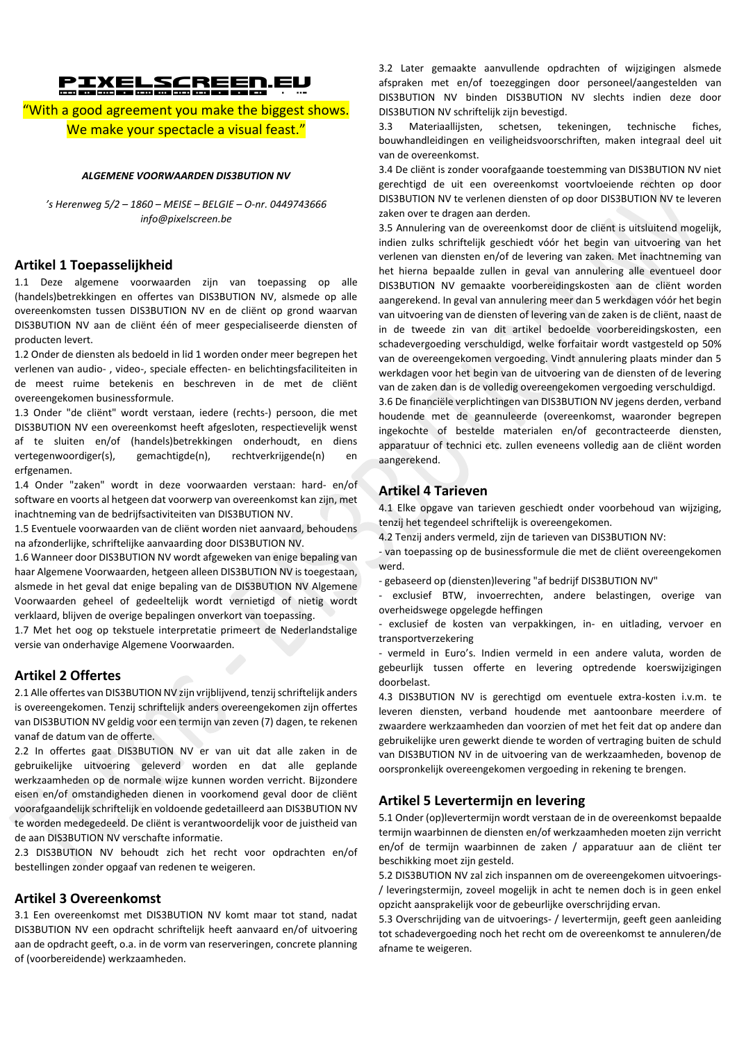# PIXELSCREEN.eu

"With a good agreement you make the biggest shows. We make your spectacle a visual feast."

#### *ALGEMENE VOORWAARDEN DIS3BUTION NV*

*'s Herenweg 5/2 – 1860 – MEISE – BELGIE – O-nr. 0449743666 info@pixelscreen.be*

## **Artikel 1 Toepasselijkheid**

1.1 Deze algemene voorwaarden zijn van toepassing op alle (handels)betrekkingen en offertes van DIS3BUTION NV, alsmede op alle overeenkomsten tussen DIS3BUTION NV en de cliënt op grond waarvan DIS3BUTION NV aan de cliënt één of meer gespecialiseerde diensten of producten levert.

1.2 Onder de diensten als bedoeld in lid 1 worden onder meer begrepen het verlenen van audio- , video-, speciale effecten- en belichtingsfaciliteiten in de meest ruime betekenis en beschreven in de met de cliënt overeengekomen businessformule.

1.3 Onder "de cliënt" wordt verstaan, iedere (rechts-) persoon, die met DIS3BUTION NV een overeenkomst heeft afgesloten, respectievelijk wenst af te sluiten en/of (handels)betrekkingen onderhoudt, en diens vertegenwoordiger(s), gemachtigde(n), rechtverkrijgende(n) en erfgenamen.

1.4 Onder "zaken" wordt in deze voorwaarden verstaan: hard- en/of software en voorts al hetgeen dat voorwerp van overeenkomst kan zijn, met inachtneming van de bedrijfsactiviteiten van DIS3BUTION NV.

1.5 Eventuele voorwaarden van de cliënt worden niet aanvaard, behoudens na afzonderlijke, schriftelijke aanvaarding door DIS3BUTION NV.

1.6 Wanneer door DIS3BUTION NV wordt afgeweken van enige bepaling van haar Algemene Voorwaarden, hetgeen alleen DIS3BUTION NV is toegestaan, alsmede in het geval dat enige bepaling van de DIS3BUTION NV Algemene Voorwaarden geheel of gedeeltelijk wordt vernietigd of nietig wordt verklaard, blijven de overige bepalingen onverkort van toepassing.

1.7 Met het oog op tekstuele interpretatie primeert de Nederlandstalige versie van onderhavige Algemene Voorwaarden.

#### **Artikel 2 Offertes**

2.1 Alle offertes van DIS3BUTION NV zijn vrijblijvend, tenzij schriftelijk anders is overeengekomen. Tenzij schriftelijk anders overeengekomen zijn offertes van DIS3BUTION NV geldig voor een termijn van zeven (7) dagen, te rekenen vanaf de datum van de offerte.

2.2 In offertes gaat DIS3BUTION NV er van uit dat alle zaken in de gebruikelijke uitvoering geleverd worden en dat alle geplande werkzaamheden op de normale wijze kunnen worden verricht. Bijzondere eisen en/of omstandigheden dienen in voorkomend geval door de cliënt voorafgaandelijk schriftelijk en voldoende gedetailleerd aan DIS3BUTION NV te worden medegedeeld. De cliënt is verantwoordelijk voor de juistheid van de aan DIS3BUTION NV verschafte informatie.

2.3 DIS3BUTION NV behoudt zich het recht voor opdrachten en/of bestellingen zonder opgaaf van redenen te weigeren.

#### **Artikel 3 Overeenkomst**

3.1 Een overeenkomst met DIS3BUTION NV komt maar tot stand, nadat DIS3BUTION NV een opdracht schriftelijk heeft aanvaard en/of uitvoering aan de opdracht geeft, o.a. in de vorm van reserveringen, concrete planning of (voorbereidende) werkzaamheden.

3.2 Later gemaakte aanvullende opdrachten of wijzigingen alsmede afspraken met en/of toezeggingen door personeel/aangestelden van DIS3BUTION NV binden DIS3BUTION NV slechts indien deze door DIS3BUTION NV schriftelijk zijn bevestigd.

3.3 Materiaallijsten, schetsen, tekeningen, technische fiches, bouwhandleidingen en veiligheidsvoorschriften, maken integraal deel uit van de overeenkomst.

3.4 De cliënt is zonder voorafgaande toestemming van DIS3BUTION NV niet gerechtigd de uit een overeenkomst voortvloeiende rechten op door DIS3BUTION NV te verlenen diensten of op door DIS3BUTION NV te leveren zaken over te dragen aan derden.

3.5 Annulering van de overeenkomst door de cliënt is uitsluitend mogelijk, indien zulks schriftelijk geschiedt vóór het begin van uitvoering van het verlenen van diensten en/of de levering van zaken. Met inachtneming van het hierna bepaalde zullen in geval van annulering alle eventueel door DIS3BUTION NV gemaakte voorbereidingskosten aan de cliënt worden aangerekend. In geval van annulering meer dan 5 werkdagen vóór het begin van uitvoering van de diensten of levering van de zaken is de cliënt, naast de in de tweede zin van dit artikel bedoelde voorbereidingskosten, een schadevergoeding verschuldigd, welke forfaitair wordt vastgesteld op 50% van de overeengekomen vergoeding. Vindt annulering plaats minder dan 5 werkdagen voor het begin van de uitvoering van de diensten of de levering van de zaken dan is de volledig overeengekomen vergoeding verschuldigd. 3.6 De financiële verplichtingen van DIS3BUTION NV jegens derden, verband houdende met de geannuleerde (overeenkomst, waaronder begrepen ingekochte of bestelde materialen en/of gecontracteerde diensten, apparatuur of technici etc. zullen eveneens volledig aan de cliënt worden aangerekend.

## **Artikel 4 Tarieven**

4.1 Elke opgave van tarieven geschiedt onder voorbehoud van wijziging, tenzij het tegendeel schriftelijk is overeengekomen.

4.2 Tenzij anders vermeld, zijn de tarieven van DIS3BUTION NV:

- van toepassing op de businessformule die met de cliënt overeengekomen werd.

- gebaseerd op (diensten)levering "af bedrijf DIS3BUTION NV"

exclusief BTW, invoerrechten, andere belastingen, overige van overheidswege opgelegde heffingen

- exclusief de kosten van verpakkingen, in- en uitlading, vervoer en transportverzekering

- vermeld in Euro's. Indien vermeld in een andere valuta, worden de gebeurlijk tussen offerte en levering optredende koerswijzigingen doorbelast.

4.3 DIS3BUTION NV is gerechtigd om eventuele extra-kosten i.v.m. te leveren diensten, verband houdende met aantoonbare meerdere of zwaardere werkzaamheden dan voorzien of met het feit dat op andere dan gebruikelijke uren gewerkt diende te worden of vertraging buiten de schuld van DIS3BUTION NV in de uitvoering van de werkzaamheden, bovenop de oorspronkelijk overeengekomen vergoeding in rekening te brengen.

# **Artikel 5 Levertermijn en levering**

5.1 Onder (op)levertermijn wordt verstaan de in de overeenkomst bepaalde termijn waarbinnen de diensten en/of werkzaamheden moeten zijn verricht en/of de termijn waarbinnen de zaken / apparatuur aan de cliënt ter beschikking moet zijn gesteld.

5.2 DIS3BUTION NV zal zich inspannen om de overeengekomen uitvoerings- / leveringstermijn, zoveel mogelijk in acht te nemen doch is in geen enkel opzicht aansprakelijk voor de gebeurlijke overschrijding ervan.

5.3 Overschrijding van de uitvoerings- / levertermijn, geeft geen aanleiding tot schadevergoeding noch het recht om de overeenkomst te annuleren/de afname te weigeren.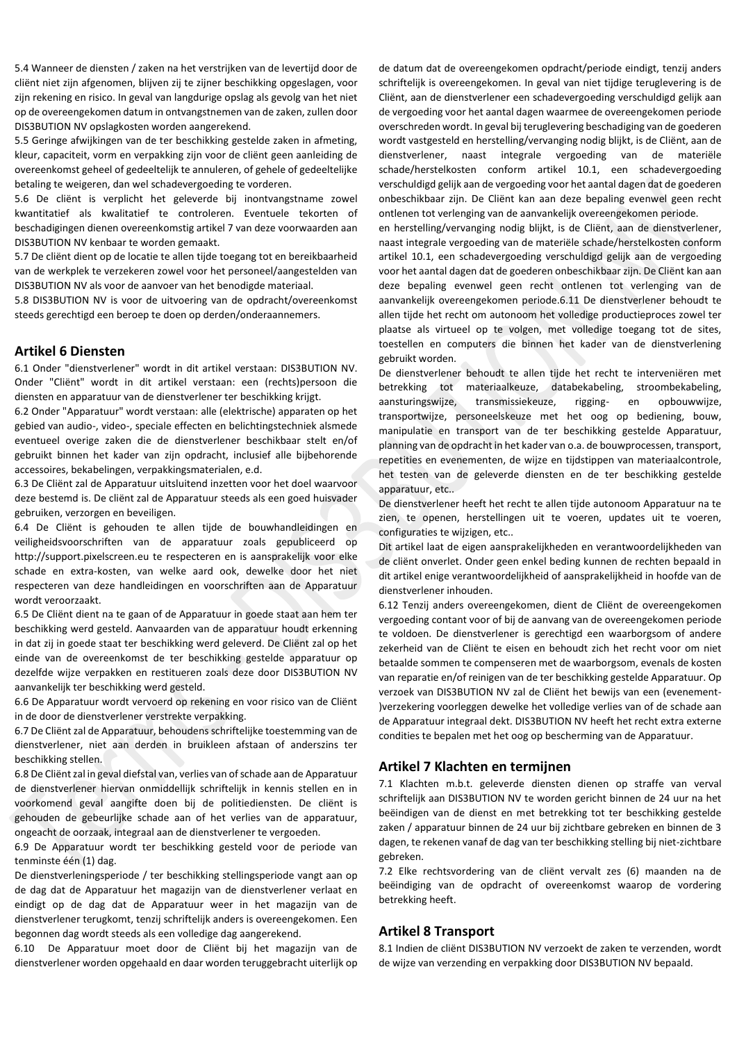5.4 Wanneer de diensten / zaken na het verstrijken van de levertijd door de cliënt niet zijn afgenomen, blijven zij te zijner beschikking opgeslagen, voor zijn rekening en risico. In geval van langdurige opslag als gevolg van het niet op de overeengekomen datum in ontvangstnemen van de zaken, zullen door DIS3BUTION NV opslagkosten worden aangerekend.

5.5 Geringe afwijkingen van de ter beschikking gestelde zaken in afmeting, kleur, capaciteit, vorm en verpakking zijn voor de cliënt geen aanleiding de overeenkomst geheel of gedeeltelijk te annuleren, of gehele of gedeeltelijke betaling te weigeren, dan wel schadevergoeding te vorderen.

5.6 De cliënt is verplicht het geleverde bij inontvangstname zowel kwantitatief als kwalitatief te controleren. Eventuele tekorten of beschadigingen dienen overeenkomstig artikel 7 van deze voorwaarden aan DIS3BUTION NV kenbaar te worden gemaakt.

5.7 De cliënt dient op de locatie te allen tijde toegang tot en bereikbaarheid van de werkplek te verzekeren zowel voor het personeel/aangestelden van DIS3BUTION NV als voor de aanvoer van het benodigde materiaal.

5.8 DIS3BUTION NV is voor de uitvoering van de opdracht/overeenkomst steeds gerechtigd een beroep te doen op derden/onderaannemers.

#### **Artikel 6 Diensten**

6.1 Onder "dienstverlener" wordt in dit artikel verstaan: DIS3BUTION NV. Onder "Cliënt" wordt in dit artikel verstaan: een (rechts)persoon die diensten en apparatuur van de dienstverlener ter beschikking krijgt.

6.2 Onder "Apparatuur" wordt verstaan: alle (elektrische) apparaten op het gebied van audio-, video-, speciale effecten en belichtingstechniek alsmede eventueel overige zaken die de dienstverlener beschikbaar stelt en/of gebruikt binnen het kader van zijn opdracht, inclusief alle bijbehorende accessoires, bekabelingen, verpakkingsmaterialen, e.d.

6.3 De Cliënt zal de Apparatuur uitsluitend inzetten voor het doel waarvoor deze bestemd is. De cliënt zal de Apparatuur steeds als een goed huisvader gebruiken, verzorgen en beveiligen.

6.4 De Cliënt is gehouden te allen tijde de bouwhandleidingen en veiligheidsvoorschriften van de apparatuur zoals gepubliceerd op http://support.pixelscreen.eu te respecteren en is aansprakelijk voor elke schade en extra-kosten, van welke aard ook, dewelke door het niet respecteren van deze handleidingen en voorschriften aan de Apparatuur wordt veroorzaakt.

6.5 De Cliënt dient na te gaan of de Apparatuur in goede staat aan hem ter beschikking werd gesteld. Aanvaarden van de apparatuur houdt erkenning in dat zij in goede staat ter beschikking werd geleverd. De Cliënt zal op het einde van de overeenkomst de ter beschikking gestelde apparatuur op dezelfde wijze verpakken en restitueren zoals deze door DIS3BUTION NV aanvankelijk ter beschikking werd gesteld.

6.6 De Apparatuur wordt vervoerd op rekening en voor risico van de Cliënt in de door de dienstverlener verstrekte verpakking.

6.7 De Cliënt zal de Apparatuur, behoudens schriftelijke toestemming van de dienstverlener, niet aan derden in bruikleen afstaan of anderszins ter beschikking stellen.

6.8 De Cliënt zal in geval diefstal van, verlies van of schade aan de Apparatuur de dienstverlener hiervan onmiddellijk schriftelijk in kennis stellen en in voorkomend geval aangifte doen bij de politiediensten. De cliënt is gehouden de gebeurlijke schade aan of het verlies van de apparatuur, ongeacht de oorzaak, integraal aan de dienstverlener te vergoeden.

6.9 De Apparatuur wordt ter beschikking gesteld voor de periode van tenminste één (1) dag.

De dienstverleningsperiode / ter beschikking stellingsperiode vangt aan op de dag dat de Apparatuur het magazijn van de dienstverlener verlaat en eindigt op de dag dat de Apparatuur weer in het magazijn van de dienstverlener terugkomt, tenzij schriftelijk anders is overeengekomen. Een begonnen dag wordt steeds als een volledige dag aangerekend.

6.10 De Apparatuur moet door de Cliënt bij het magazijn van de dienstverlener worden opgehaald en daar worden teruggebracht uiterlijk op de datum dat de overeengekomen opdracht/periode eindigt, tenzij anders schriftelijk is overeengekomen. In geval van niet tijdige teruglevering is de Cliënt, aan de dienstverlener een schadevergoeding verschuldigd gelijk aan de vergoeding voor het aantal dagen waarmee de overeengekomen periode overschreden wordt. In geval bij teruglevering beschadiging van de goederen wordt vastgesteld en herstelling/vervanging nodig blijkt, is de Cliënt, aan de dienstverlener, naast integrale vergoeding van de materiële schade/herstelkosten conform artikel 10.1, een schadevergoeding verschuldigd gelijk aan de vergoeding voor het aantal dagen dat de goederen onbeschikbaar zijn. De Cliënt kan aan deze bepaling evenwel geen recht ontlenen tot verlenging van de aanvankelijk overeengekomen periode.

en herstelling/vervanging nodig blijkt, is de Cliënt, aan de dienstverlener, naast integrale vergoeding van de materiële schade/herstelkosten conform artikel 10.1, een schadevergoeding verschuldigd gelijk aan de vergoeding voor het aantal dagen dat de goederen onbeschikbaar zijn. De Cliënt kan aan deze bepaling evenwel geen recht ontlenen tot verlenging van de aanvankelijk overeengekomen periode.6.11 De dienstverlener behoudt te allen tijde het recht om autonoom het volledige productieproces zowel ter plaatse als virtueel op te volgen, met volledige toegang tot de sites, toestellen en computers die binnen het kader van de dienstverlening gebruikt worden.

De dienstverlener behoudt te allen tijde het recht te interveniëren met betrekking tot materiaalkeuze, databekabeling, stroombekabeling, aansturingswijze, transmissiekeuze, rigging- en opbouwwijze, transportwijze, personeelskeuze met het oog op bediening, bouw, manipulatie en transport van de ter beschikking gestelde Apparatuur, planning van de opdracht in het kader van o.a. de bouwprocessen, transport, repetities en evenementen, de wijze en tijdstippen van materiaalcontrole, het testen van de geleverde diensten en de ter beschikking gestelde apparatuur, etc..

De dienstverlener heeft het recht te allen tijde autonoom Apparatuur na te zien, te openen, herstellingen uit te voeren, updates uit te voeren, configuraties te wijzigen, etc..

Dit artikel laat de eigen aansprakelijkheden en verantwoordelijkheden van de cliënt onverlet. Onder geen enkel beding kunnen de rechten bepaald in dit artikel enige verantwoordelijkheid of aansprakelijkheid in hoofde van de dienstverlener inhouden.

6.12 Tenzij anders overeengekomen, dient de Cliënt de overeengekomen vergoeding contant voor of bij de aanvang van de overeengekomen periode te voldoen. De dienstverlener is gerechtigd een waarborgsom of andere zekerheid van de Cliënt te eisen en behoudt zich het recht voor om niet betaalde sommen te compenseren met de waarborgsom, evenals de kosten van reparatie en/of reinigen van de ter beschikking gestelde Apparatuur. Op verzoek van DIS3BUTION NV zal de Cliënt het bewijs van een (evenement- )verzekering voorleggen dewelke het volledige verlies van of de schade aan de Apparatuur integraal dekt. DIS3BUTION NV heeft het recht extra externe condities te bepalen met het oog op bescherming van de Apparatuur.

# **Artikel 7 Klachten en termijnen**

7.1 Klachten m.b.t. geleverde diensten dienen op straffe van verval schriftelijk aan DIS3BUTION NV te worden gericht binnen de 24 uur na het beëindigen van de dienst en met betrekking tot ter beschikking gestelde zaken / apparatuur binnen de 24 uur bij zichtbare gebreken en binnen de 3 dagen, te rekenen vanaf de dag van ter beschikking stelling bij niet-zichtbare gebreken.

7.2 Elke rechtsvordering van de cliënt vervalt zes (6) maanden na de beëindiging van de opdracht of overeenkomst waarop de vordering betrekking heeft.

# **Artikel 8 Transport**

8.1 Indien de cliënt DIS3BUTION NV verzoekt de zaken te verzenden, wordt de wijze van verzending en verpakking door DIS3BUTION NV bepaald.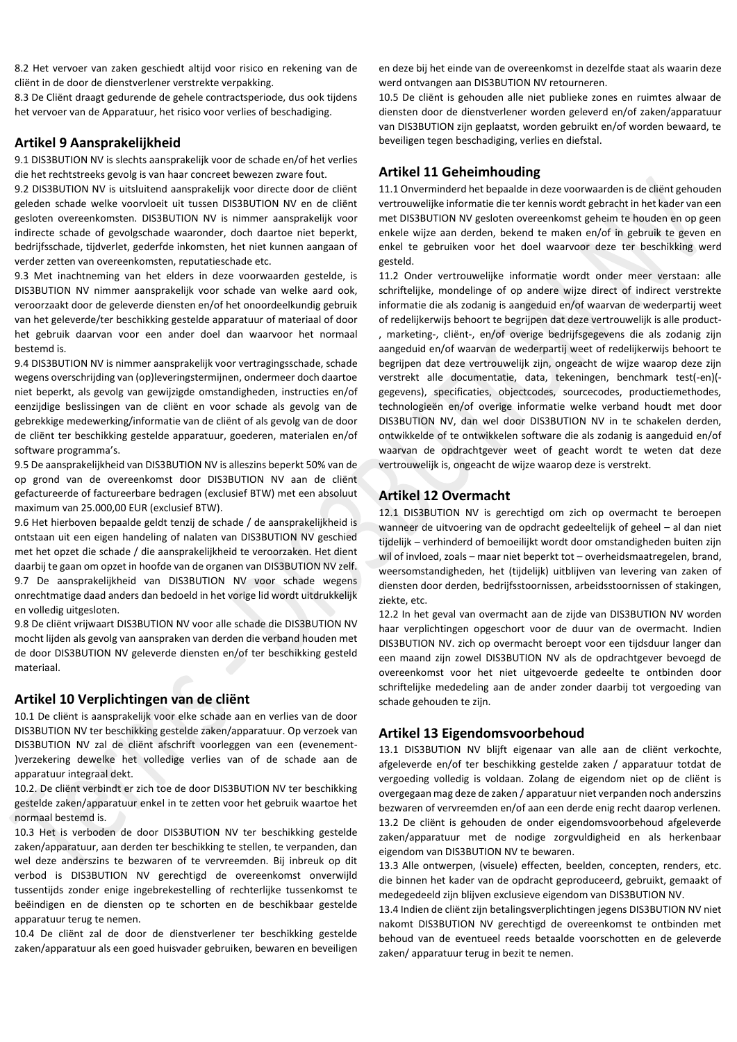8.2 Het vervoer van zaken geschiedt altijd voor risico en rekening van de cliënt in de door de dienstverlener verstrekte verpakking.

8.3 De Cliënt draagt gedurende de gehele contractsperiode, dus ook tijdens het vervoer van de Apparatuur, het risico voor verlies of beschadiging.

#### **Artikel 9 Aansprakelijkheid**

9.1 DIS3BUTION NV is slechts aansprakelijk voor de schade en/of het verlies die het rechtstreeks gevolg is van haar concreet bewezen zware fout.

9.2 DIS3BUTION NV is uitsluitend aansprakelijk voor directe door de cliënt geleden schade welke voorvloeit uit tussen DIS3BUTION NV en de cliënt gesloten overeenkomsten. DIS3BUTION NV is nimmer aansprakelijk voor indirecte schade of gevolgschade waaronder, doch daartoe niet beperkt, bedrijfsschade, tijdverlet, gederfde inkomsten, het niet kunnen aangaan of verder zetten van overeenkomsten, reputatieschade etc.

9.3 Met inachtneming van het elders in deze voorwaarden gestelde, is DIS3BUTION NV nimmer aansprakelijk voor schade van welke aard ook, veroorzaakt door de geleverde diensten en/of het onoordeelkundig gebruik van het geleverde/ter beschikking gestelde apparatuur of materiaal of door het gebruik daarvan voor een ander doel dan waarvoor het normaal bestemd is.

9.4 DIS3BUTION NV is nimmer aansprakelijk voor vertragingsschade, schade wegens overschrijding van (op)leveringstermijnen, ondermeer doch daartoe niet beperkt, als gevolg van gewijzigde omstandigheden, instructies en/of eenzijdige beslissingen van de cliënt en voor schade als gevolg van de gebrekkige medewerking/informatie van de cliënt of als gevolg van de door de cliënt ter beschikking gestelde apparatuur, goederen, materialen en/of software programma's.

9.5 De aansprakelijkheid van DIS3BUTION NV is alleszins beperkt 50% van de op grond van de overeenkomst door DIS3BUTION NV aan de cliënt gefactureerde of factureerbare bedragen (exclusief BTW) met een absoluut maximum van 25.000,00 EUR (exclusief BTW).

9.6 Het hierboven bepaalde geldt tenzij de schade / de aansprakelijkheid is ontstaan uit een eigen handeling of nalaten van DIS3BUTION NV geschied met het opzet die schade / die aansprakelijkheid te veroorzaken. Het dient daarbij te gaan om opzet in hoofde van de organen van DIS3BUTION NV zelf. 9.7 De aansprakelijkheid van DIS3BUTION NV voor schade wegens onrechtmatige daad anders dan bedoeld in het vorige lid wordt uitdrukkelijk en volledig uitgesloten.

9.8 De cliënt vrijwaart DIS3BUTION NV voor alle schade die DIS3BUTION NV mocht lijden als gevolg van aanspraken van derden die verband houden met de door DIS3BUTION NV geleverde diensten en/of ter beschikking gesteld materiaal.

#### **Artikel 10 Verplichtingen van de cliënt**

10.1 De cliënt is aansprakelijk voor elke schade aan en verlies van de door DIS3BUTION NV ter beschikking gestelde zaken/apparatuur. Op verzoek van DIS3BUTION NV zal de cliënt afschrift voorleggen van een (evenement- )verzekering dewelke het volledige verlies van of de schade aan de apparatuur integraal dekt.

10.2. De cliënt verbindt er zich toe de door DIS3BUTION NV ter beschikking gestelde zaken/apparatuur enkel in te zetten voor het gebruik waartoe het normaal bestemd is.

10.3 Het is verboden de door DIS3BUTION NV ter beschikking gestelde zaken/apparatuur, aan derden ter beschikking te stellen, te verpanden, dan wel deze anderszins te bezwaren of te vervreemden. Bij inbreuk op dit verbod is DIS3BUTION NV gerechtigd de overeenkomst onverwijld tussentijds zonder enige ingebrekestelling of rechterlijke tussenkomst te beëindigen en de diensten op te schorten en de beschikbaar gestelde apparatuur terug te nemen.

10.4 De cliënt zal de door de dienstverlener ter beschikking gestelde zaken/apparatuur als een goed huisvader gebruiken, bewaren en beveiligen en deze bij het einde van de overeenkomst in dezelfde staat als waarin deze werd ontvangen aan DIS3BUTION NV retourneren.

10.5 De cliënt is gehouden alle niet publieke zones en ruimtes alwaar de diensten door de dienstverlener worden geleverd en/of zaken/apparatuur van DIS3BUTION zijn geplaatst, worden gebruikt en/of worden bewaard, te beveiligen tegen beschadiging, verlies en diefstal.

#### **Artikel 11 Geheimhouding**

11.1 Onverminderd het bepaalde in deze voorwaarden is de cliënt gehouden vertrouwelijke informatie die ter kennis wordt gebracht in het kader van een met DIS3BUTION NV gesloten overeenkomst geheim te houden en op geen enkele wijze aan derden, bekend te maken en/of in gebruik te geven en enkel te gebruiken voor het doel waarvoor deze ter beschikking werd gesteld.

11.2 Onder vertrouwelijke informatie wordt onder meer verstaan: alle schriftelijke, mondelinge of op andere wijze direct of indirect verstrekte informatie die als zodanig is aangeduid en/of waarvan de wederpartij weet of redelijkerwijs behoort te begrijpen dat deze vertrouwelijk is alle product- , marketing-, cliënt-, en/of overige bedrijfsgegevens die als zodanig zijn aangeduid en/of waarvan de wederpartij weet of redelijkerwijs behoort te begrijpen dat deze vertrouwelijk zijn, ongeacht de wijze waarop deze zijn verstrekt alle documentatie, data, tekeningen, benchmark test(-en)( gegevens), specificaties, objectcodes, sourcecodes, productiemethodes, technologieën en/of overige informatie welke verband houdt met door DIS3BUTION NV, dan wel door DIS3BUTION NV in te schakelen derden, ontwikkelde of te ontwikkelen software die als zodanig is aangeduid en/of waarvan de opdrachtgever weet of geacht wordt te weten dat deze vertrouwelijk is, ongeacht de wijze waarop deze is verstrekt.

#### **Artikel 12 Overmacht**

12.1 DIS3BUTION NV is gerechtigd om zich op overmacht te beroepen wanneer de uitvoering van de opdracht gedeeltelijk of geheel – al dan niet tijdelijk – verhinderd of bemoeilijkt wordt door omstandigheden buiten zijn wil of invloed, zoals – maar niet beperkt tot – overheidsmaatregelen, brand, weersomstandigheden, het (tijdelijk) uitblijven van levering van zaken of diensten door derden, bedrijfsstoornissen, arbeidsstoornissen of stakingen, ziekte, etc.

12.2 In het geval van overmacht aan de zijde van DIS3BUTION NV worden haar verplichtingen opgeschort voor de duur van de overmacht. Indien DIS3BUTION NV. zich op overmacht beroept voor een tijdsduur langer dan een maand zijn zowel DIS3BUTION NV als de opdrachtgever bevoegd de overeenkomst voor het niet uitgevoerde gedeelte te ontbinden door schriftelijke mededeling aan de ander zonder daarbij tot vergoeding van schade gehouden te zijn.

## **Artikel 13 Eigendomsvoorbehoud**

13.1 DIS3BUTION NV blijft eigenaar van alle aan de cliënt verkochte, afgeleverde en/of ter beschikking gestelde zaken / apparatuur totdat de vergoeding volledig is voldaan. Zolang de eigendom niet op de cliënt is overgegaan mag deze de zaken / apparatuur niet verpanden noch anderszins bezwaren of vervreemden en/of aan een derde enig recht daarop verlenen. 13.2 De cliënt is gehouden de onder eigendomsvoorbehoud afgeleverde zaken/apparatuur met de nodige zorgvuldigheid en als herkenbaar eigendom van DIS3BUTION NV te bewaren.

13.3 Alle ontwerpen, (visuele) effecten, beelden, concepten, renders, etc. die binnen het kader van de opdracht geproduceerd, gebruikt, gemaakt of medegedeeld zijn blijven exclusieve eigendom van DIS3BUTION NV.

13.4 Indien de cliënt zijn betalingsverplichtingen jegens DIS3BUTION NV niet nakomt DIS3BUTION NV gerechtigd de overeenkomst te ontbinden met behoud van de eventueel reeds betaalde voorschotten en de geleverde zaken/ apparatuur terug in bezit te nemen.